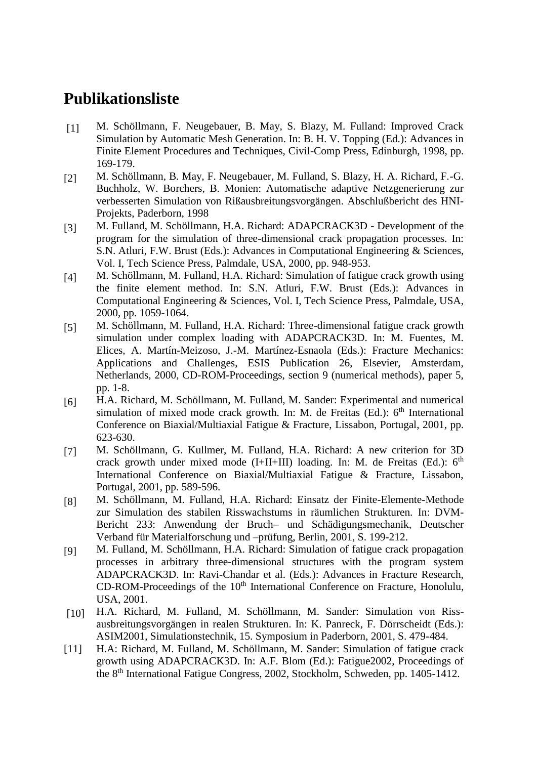## **Publikationsliste**

- [1] M. Schöllmann, F. Neugebauer, B. May, S. Blazy, M. Fulland: Improved Crack Simulation by Automatic Mesh Generation. In: B. H. V. Topping (Ed.): Advances in Finite Element Procedures and Techniques, Civil-Comp Press, Edinburgh, 1998, pp. 169-179.
- [2] M. Schöllmann, B. May, F. Neugebauer, M. Fulland, S. Blazy, H. A. Richard, F.-G. Buchholz, W. Borchers, B. Monien: Automatische adaptive Netzgenerierung zur verbesserten Simulation von Rißausbreitungsvorgängen. Abschlußbericht des HNI-Projekts, Paderborn, 1998
- [3] M. Fulland, M. Schöllmann, H.A. Richard: ADAPCRACK3D Development of the program for the simulation of three-dimensional crack propagation processes. In: S.N. Atluri, F.W. Brust (Eds.): Advances in Computational Engineering & Sciences, Vol. I, Tech Science Press, Palmdale, USA, 2000, pp. 948-953.
- [4] M. Schöllmann, M. Fulland, H.A. Richard: Simulation of fatigue crack growth using the finite element method. In: S.N. Atluri, F.W. Brust (Eds.): Advances in Computational Engineering & Sciences, Vol. I, Tech Science Press, Palmdale, USA, 2000, pp. 1059-1064.
- [5] M. Schöllmann, M. Fulland, H.A. Richard: Three-dimensional fatigue crack growth simulation under complex loading with ADAPCRACK3D. In: M. Fuentes, M. Elices, A. Martín-Meizoso, J.-M. Martínez-Esnaola (Eds.): Fracture Mechanics: Applications and Challenges, ESIS Publication 26, Elsevier, Amsterdam, Netherlands, 2000, CD-ROM-Proceedings, section 9 (numerical methods), paper 5, pp. 1-8.
- [6] H.A. Richard, M. Schöllmann, M. Fulland, M. Sander: Experimental and numerical simulation of mixed mode crack growth. In: M. de Freitas (Ed.):  $6<sup>th</sup>$  International Conference on Biaxial/Multiaxial Fatigue & Fracture, Lissabon, Portugal, 2001, pp. 623-630.
- [7] M. Schöllmann, G. Kullmer, M. Fulland, H.A. Richard: A new criterion for 3D crack growth under mixed mode (I+II+III) loading. In: M. de Freitas (Ed.):  $6<sup>th</sup>$ International Conference on Biaxial/Multiaxial Fatigue & Fracture, Lissabon, Portugal, 2001, pp. 589-596.
- [8] M. Schöllmann, M. Fulland, H.A. Richard: Einsatz der Finite-Elemente-Methode zur Simulation des stabilen Risswachstums in räumlichen Strukturen. In: DVM-Bericht 233: Anwendung der Bruch– und Schädigungsmechanik, Deutscher Verband für Materialforschung und –prüfung, Berlin, 2001, S. 199-212.
- [9] M. Fulland, M. Schöllmann, H.A. Richard: Simulation of fatigue crack propagation processes in arbitrary three-dimensional structures with the program system ADAPCRACK3D. In: Ravi-Chandar et al. (Eds.): Advances in Fracture Research,  $CD-ROM-Proceedings of the 10<sup>th</sup> International Conference on Fracture, Honolulu,$ USA, 2001.
- [10] H.A. Richard, M. Fulland, M. Schöllmann, M. Sander: Simulation von Rissausbreitungsvorgängen in realen Strukturen. In: K. Panreck, F. Dörrscheidt (Eds.): ASIM2001, Simulationstechnik, 15. Symposium in Paderborn, 2001, S. 479-484.
- [11] H.A: Richard, M. Fulland, M. Schöllmann, M. Sander: Simulation of fatigue crack growth using ADAPCRACK3D. In: A.F. Blom (Ed.): Fatigue2002, Proceedings of the 8th International Fatigue Congress, 2002, Stockholm, Schweden, pp. 1405-1412.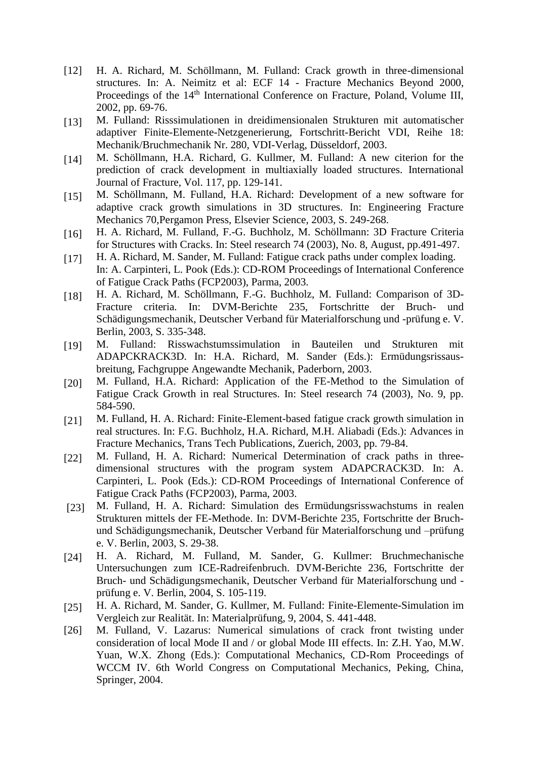- [12] H. A. Richard, M. Schöllmann, M. Fulland: Crack growth in three-dimensional structures. In: A. Neimitz et al: ECF 14 - Fracture Mechanics Beyond 2000, Proceedings of the 14<sup>th</sup> International Conference on Fracture, Poland, Volume III, 2002, pp. 69-76.
- [13] M. Fulland: Risssimulationen in dreidimensionalen Strukturen mit automatischer adaptiver Finite-Elemente-Netzgenerierung, Fortschritt-Bericht VDI, Reihe 18: Mechanik/Bruchmechanik Nr. 280, VDI-Verlag, Düsseldorf, 2003.
- [14] M. Schöllmann, H.A. Richard, G. Kullmer, M. Fulland: A new citerion for the prediction of crack development in multiaxially loaded structures. International Journal of Fracture, Vol. 117, pp. 129-141.
- [15] M. Schöllmann, M. Fulland, H.A. Richard: Development of a new software for adaptive crack growth simulations in 3D structures. In: Engineering Fracture Mechanics 70,Pergamon Press, Elsevier Science, 2003, S. 249-268.
- [16] H. A. Richard, M. Fulland, F.-G. Buchholz, M. Schöllmann: 3D Fracture Criteria for Structures with Cracks. In: Steel research 74 (2003), No. 8, August, pp.491-497.
- [17] H. A. Richard, M. Sander, M. Fulland: Fatigue crack paths under complex loading. In: A. Carpinteri, L. Pook (Eds.): CD-ROM Proceedings of International Conference of Fatigue Crack Paths (FCP2003), Parma, 2003.
- [18] H. A. Richard, M. Schöllmann, F.-G. Buchholz, M. Fulland: Comparison of 3D-Fracture criteria. In: DVM-Berichte 235, Fortschritte der Bruch- und Schädigungsmechanik, Deutscher Verband für Materialforschung und -prüfung e. V. Berlin, 2003, S. 335-348.
- [19] M. Fulland: Risswachstumssimulation in Bauteilen und Strukturen mit ADAPCKRACK3D. In: H.A. Richard, M. Sander (Eds.): Ermüdungsrissausbreitung, Fachgruppe Angewandte Mechanik, Paderborn, 2003.
- [20] M. Fulland, H.A. Richard: Application of the FE-Method to the Simulation of Fatigue Crack Growth in real Structures. In: Steel research 74 (2003), No. 9, pp. 584-590.
- [21] M. Fulland, H. A. Richard: Finite-Element-based fatigue crack growth simulation in real structures. In: F.G. Buchholz, H.A. Richard, M.H. Aliabadi (Eds.): Advances in Fracture Mechanics, Trans Tech Publications, Zuerich, 2003, pp. 79-84.
- [22] M. Fulland, H. A. Richard: Numerical Determination of crack paths in threedimensional structures with the program system ADAPCRACK3D. In: A. Carpinteri, L. Pook (Eds.): CD-ROM Proceedings of International Conference of Fatigue Crack Paths (FCP2003), Parma, 2003.
- [23] M. Fulland, H. A. Richard: Simulation des Ermüdungsrisswachstums in realen Strukturen mittels der FE-Methode. In: DVM-Berichte 235, Fortschritte der Bruchund Schädigungsmechanik, Deutscher Verband für Materialforschung und –prüfung e. V. Berlin, 2003, S. 29-38.
- [24] H. A. Richard, M. Fulland, M. Sander, G. Kullmer: Bruchmechanische Untersuchungen zum ICE-Radreifenbruch. DVM-Berichte 236, Fortschritte der Bruch- und Schädigungsmechanik, Deutscher Verband für Materialforschung und prüfung e. V. Berlin, 2004, S. 105-119.
- [25] H. A. Richard, M. Sander, G. Kullmer, M. Fulland: Finite-Elemente-Simulation im Vergleich zur Realität. In: Materialprüfung, 9, 2004, S. 441-448.
- [26] M. Fulland, V. Lazarus: Numerical simulations of crack front twisting under consideration of local Mode II and / or global Mode III effects. In: Z.H. Yao, M.W. Yuan, W.X. Zhong (Eds.): Computational Mechanics, CD-Rom Proceedings of WCCM IV. 6th World Congress on Computational Mechanics, Peking, China, Springer, 2004.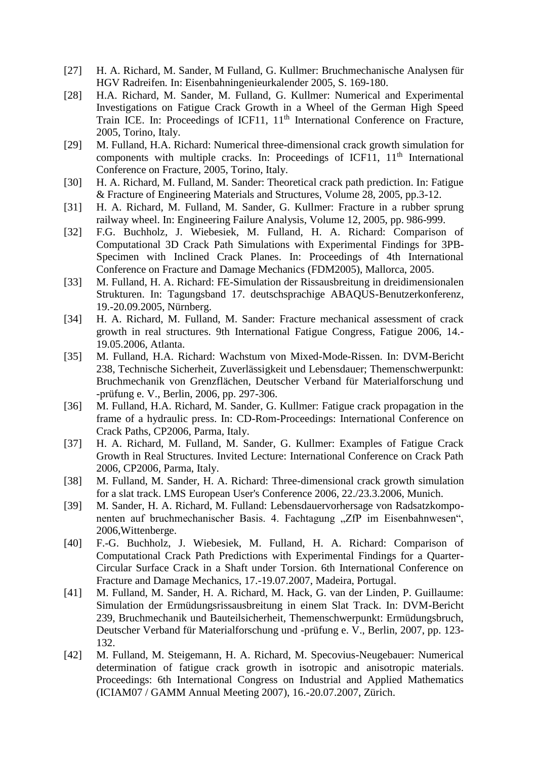- [27] H. A. Richard, M. Sander, M Fulland, G. Kullmer: Bruchmechanische Analysen für HGV Radreifen*.* In: Eisenbahningenieurkalender 2005, S. 169-180.
- [28] H.A. Richard, M. Sander, M. Fulland, G. Kullmer: Numerical and Experimental Investigations on Fatigue Crack Growth in a Wheel of the German High Speed Train ICE. In: Proceedings of ICF11,  $11<sup>th</sup>$  International Conference on Fracture, 2005, Torino, Italy.
- [29] M. Fulland, H.A. Richard: Numerical three-dimensional crack growth simulation for components with multiple cracks. In: Proceedings of ICF11,  $11<sup>th</sup>$  International Conference on Fracture, 2005, Torino, Italy.
- [30] H. A. Richard, M. Fulland, M. Sander: Theoretical crack path prediction. In: Fatigue & Fracture of Engineering Materials and Structures, Volume 28, 2005, pp.3-12.
- [31] H. A. Richard, M. Fulland, M. Sander, G. Kullmer: Fracture in a rubber sprung railway wheel. In: Engineering Failure Analysis, Volume 12, 2005, pp. 986-999.
- [32] F.G. Buchholz, J. Wiebesiek, M. Fulland, H. A. Richard: Comparison of Computational 3D Crack Path Simulations with Experimental Findings for 3PB-Specimen with Inclined Crack Planes. In: Proceedings of 4th International Conference on Fracture and Damage Mechanics (FDM2005), Mallorca, 2005.
- [33] M. Fulland, H. A. Richard: FE-Simulation der Rissausbreitung in dreidimensionalen Strukturen. In: Tagungsband 17. deutschsprachige ABAQUS-Benutzerkonferenz, 19.-20.09.2005, Nürnberg.
- [34] H. A. Richard, M. Fulland, M. Sander: Fracture mechanical assessment of crack growth in real structures. 9th International Fatigue Congress, Fatigue 2006, 14.- 19.05.2006, Atlanta.
- [35] M. Fulland, H.A. Richard: Wachstum von Mixed-Mode-Rissen. In: DVM-Bericht 238, Technische Sicherheit, Zuverlässigkeit und Lebensdauer; Themenschwerpunkt: Bruchmechanik von Grenzflächen, Deutscher Verband für Materialforschung und -prüfung e. V., Berlin, 2006, pp. 297-306.
- [36] M. Fulland, H.A. Richard, M. Sander, G. Kullmer: Fatigue crack propagation in the frame of a hydraulic press. In: CD-Rom-Proceedings: International Conference on Crack Paths, CP2006, Parma, Italy.
- [37] H. A. Richard, M. Fulland, M. Sander, G. Kullmer: Examples of Fatigue Crack Growth in Real Structures. Invited Lecture: International Conference on Crack Path 2006, CP2006, Parma, Italy.
- [38] M. Fulland, M. Sander, H. A. Richard: Three-dimensional crack growth simulation for a slat track. LMS European User's Conference 2006, 22./23.3.2006, Munich.
- [39] M. Sander, H. A. Richard, M. Fulland: Lebensdauervorhersage von Radsatzkomponenten auf bruchmechanischer Basis. 4. Fachtagung "ZfP im Eisenbahnwesen", 2006,Wittenberge.
- [40] F.-G. Buchholz, J. Wiebesiek, M. Fulland, H. A. Richard: Comparison of Computational Crack Path Predictions with Experimental Findings for a Quarter-Circular Surface Crack in a Shaft under Torsion. 6th International Conference on Fracture and Damage Mechanics, 17.-19.07.2007, Madeira, Portugal.
- [41] M. Fulland, M. Sander, H. A. Richard, M. Hack, G. van der Linden, P. Guillaume: Simulation der Ermüdungsrissausbreitung in einem Slat Track. In: DVM-Bericht 239, Bruchmechanik und Bauteilsicherheit, Themenschwerpunkt: Ermüdungsbruch, Deutscher Verband für Materialforschung und -prüfung e. V., Berlin, 2007, pp. 123- 132.
- [42] M. Fulland, M. Steigemann, H. A. Richard, M. Specovius-Neugebauer: Numerical determination of fatigue crack growth in isotropic and anisotropic materials. Proceedings: 6th International Congress on Industrial and Applied Mathematics (ICIAM07 / GAMM Annual Meeting 2007), 16.-20.07.2007, Zürich.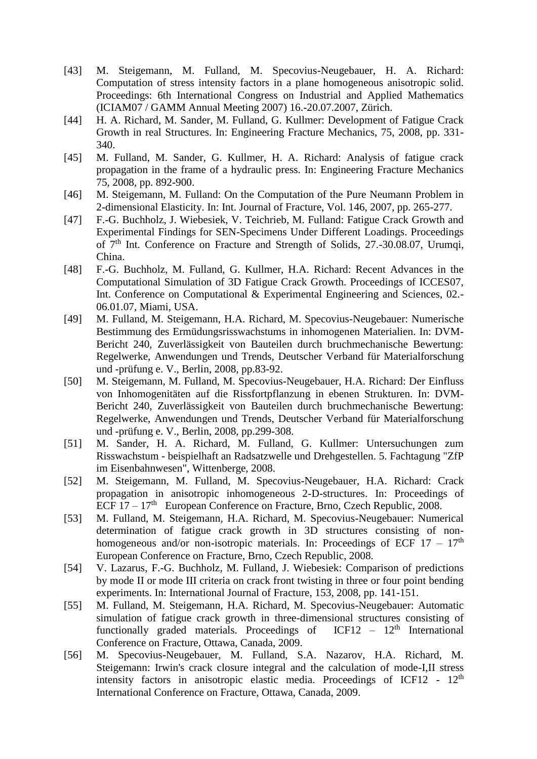- [43] M. Steigemann, M. Fulland, M. Specovius-Neugebauer, H. A. Richard: Computation of stress intensity factors in a plane homogeneous anisotropic solid. Proceedings: 6th International Congress on Industrial and Applied Mathematics (ICIAM07 / GAMM Annual Meeting 2007) 16.-20.07.2007, Zürich.
- [44] H. A. Richard, M. Sander, M. Fulland, G. Kullmer: Development of Fatigue Crack Growth in real Structures. In: Engineering Fracture Mechanics, 75, 2008, pp. 331- 340.
- [45] M. Fulland, M. Sander, G. Kullmer, H. A. Richard: Analysis of fatigue crack propagation in the frame of a hydraulic press. In: Engineering Fracture Mechanics 75, 2008, pp. 892-900.
- [46] M. Steigemann, M. Fulland: On the Computation of the Pure Neumann Problem in 2-dimensional Elasticity. In: Int. Journal of Fracture, Vol. 146, 2007, pp. 265-277.
- [47] F.-G. Buchholz, J. Wiebesiek, V. Teichrieb, M. Fulland: Fatigue Crack Growth and Experimental Findings for SEN-Specimens Under Different Loadings. Proceedings of 7th Int. Conference on Fracture and Strength of Solids, 27.-30.08.07, Urumqi, China.
- [48] F.-G. Buchholz, M. Fulland, G. Kullmer, H.A. Richard: Recent Advances in the Computational Simulation of 3D Fatigue Crack Growth. Proceedings of ICCES07, Int. Conference on Computational & Experimental Engineering and Sciences, 02.- 06.01.07, Miami, USA.
- [49] M. Fulland, M. Steigemann, H.A. Richard, M. Specovius-Neugebauer: Numerische Bestimmung des Ermüdungsrisswachstums in inhomogenen Materialien. In: DVM-Bericht 240, Zuverlässigkeit von Bauteilen durch bruchmechanische Bewertung: Regelwerke, Anwendungen und Trends, Deutscher Verband für Materialforschung und -prüfung e. V., Berlin, 2008, pp.83-92.
- [50] M. Steigemann, M. Fulland, M. Specovius-Neugebauer, H.A. Richard: Der Einfluss von Inhomogenitäten auf die Rissfortpflanzung in ebenen Strukturen. In: DVM-Bericht 240, Zuverlässigkeit von Bauteilen durch bruchmechanische Bewertung: Regelwerke, Anwendungen und Trends, Deutscher Verband für Materialforschung und -prüfung e. V., Berlin, 2008, pp.299-308.
- [51] M. Sander, H. A. Richard, M. Fulland, G. Kullmer: Untersuchungen zum Risswachstum - beispielhaft an Radsatzwelle und Drehgestellen. 5. Fachtagung "ZfP im Eisenbahnwesen", Wittenberge, 2008.
- [52] M. Steigemann, M. Fulland, M. Specovius-Neugebauer, H.A. Richard: Crack propagation in anisotropic inhomogeneous 2-D-structures. In: Proceedings of ECF  $17 - 17<sup>th</sup>$  European Conference on Fracture, Brno, Czech Republic, 2008.
- [53] M. Fulland, M. Steigemann, H.A. Richard, M. Specovius-Neugebauer: Numerical determination of fatigue crack growth in 3D structures consisting of nonhomogeneous and/or non-isotropic materials. In: Proceedings of ECF  $17 - 17<sup>th</sup>$ European Conference on Fracture, Brno, Czech Republic, 2008.
- [54] V. Lazarus, F.-G. Buchholz, M. Fulland, J. Wiebesiek: Comparison of predictions by mode II or mode III criteria on crack front twisting in three or four point bending experiments. In: International Journal of Fracture, 153, 2008, pp. 141-151.
- [55] M. Fulland, M. Steigemann, H.A. Richard, M. Specovius-Neugebauer: Automatic simulation of fatigue crack growth in three-dimensional structures consisting of functionally graded materials. Proceedings of  $ICF12 - 12<sup>th</sup>$  International Conference on Fracture, Ottawa, Canada, 2009.
- [56] M. Specovius-Neugebauer, M. Fulland, S.A. Nazarov, H.A. Richard, M. Steigemann: Irwin's crack closure integral and the calculation of mode-I,II stress intensity factors in anisotropic elastic media. Proceedings of ICF12 -  $12<sup>th</sup>$ International Conference on Fracture, Ottawa, Canada, 2009.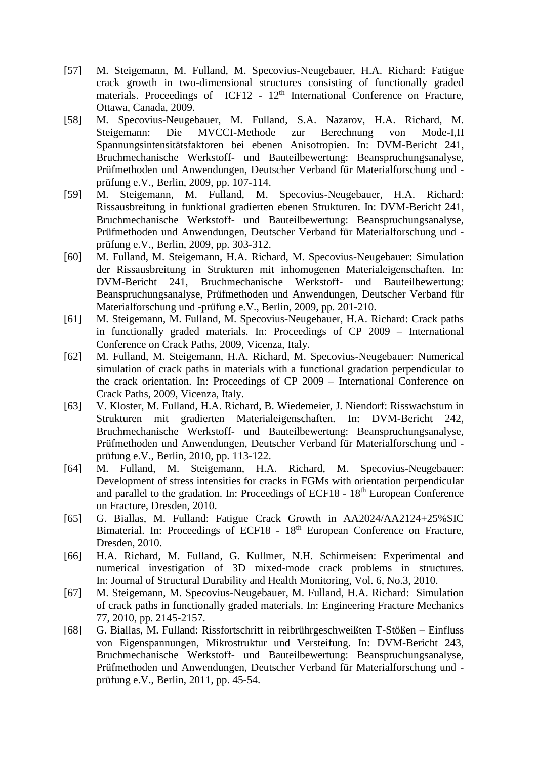- [57] M. Steigemann, M. Fulland, M. Specovius-Neugebauer, H.A. Richard: Fatigue crack growth in two-dimensional structures consisting of functionally graded materials. Proceedings of ICF12 - 12<sup>th</sup> International Conference on Fracture, Ottawa, Canada, 2009.
- [58] M. Specovius-Neugebauer, M. Fulland, S.A. Nazarov, H.A. Richard, M. Steigemann: Die MVCCI-Methode zur Berechnung von Mode-I,II Spannungsintensitätsfaktoren bei ebenen Anisotropien. In: DVM-Bericht 241, Bruchmechanische Werkstoff- und Bauteilbewertung: Beanspruchungsanalyse, Prüfmethoden und Anwendungen, Deutscher Verband für Materialforschung und prüfung e.V., Berlin, 2009, pp. 107-114.
- [59] M. Steigemann, M. Fulland, M. Specovius-Neugebauer, H.A. Richard: Rissausbreitung in funktional gradierten ebenen Strukturen. In: DVM-Bericht 241, Bruchmechanische Werkstoff- und Bauteilbewertung: Beanspruchungsanalyse, Prüfmethoden und Anwendungen, Deutscher Verband für Materialforschung und prüfung e.V., Berlin, 2009, pp. 303-312.
- [60] M. Fulland, M. Steigemann, H.A. Richard, M. Specovius-Neugebauer: Simulation der Rissausbreitung in Strukturen mit inhomogenen Materialeigenschaften. In: DVM-Bericht 241, Bruchmechanische Werkstoff- und Bauteilbewertung: Beanspruchungsanalyse, Prüfmethoden und Anwendungen, Deutscher Verband für Materialforschung und -prüfung e.V., Berlin, 2009, pp. 201-210.
- [61] M. Steigemann, M. Fulland, M. Specovius-Neugebauer, H.A. Richard: Crack paths in functionally graded materials. In: Proceedings of CP 2009 – International Conference on Crack Paths, 2009, Vicenza, Italy.
- [62] M. Fulland, M. Steigemann, H.A. Richard, M. Specovius-Neugebauer: Numerical simulation of crack paths in materials with a functional gradation perpendicular to the crack orientation. In: Proceedings of CP 2009 – International Conference on Crack Paths, 2009, Vicenza, Italy.
- [63] V. Kloster, M. Fulland, H.A. Richard, B. Wiedemeier, J. Niendorf: Risswachstum in Strukturen mit gradierten Materialeigenschaften. In: DVM-Bericht 242, Bruchmechanische Werkstoff- und Bauteilbewertung: Beanspruchungsanalyse, Prüfmethoden und Anwendungen, Deutscher Verband für Materialforschung und prüfung e.V., Berlin, 2010, pp. 113-122.
- [64] M. Fulland, M. Steigemann, H.A. Richard, M. Specovius-Neugebauer: Development of stress intensities for cracks in FGMs with orientation perpendicular and parallel to the gradation. In: Proceedings of ECF18 -  $18<sup>th</sup>$  European Conference on Fracture, Dresden, 2010.
- [65] G. Biallas, M. Fulland: Fatigue Crack Growth in AA2024/AA2124+25%SIC Bimaterial. In: Proceedings of ECF18 - 18<sup>th</sup> European Conference on Fracture, Dresden, 2010.
- [66] H.A. Richard, M. Fulland, G. Kullmer, N.H. Schirmeisen: Experimental and numerical investigation of 3D mixed-mode crack problems in structures. In: Journal of Structural Durability and Health Monitoring, Vol. 6, No.3, 2010.
- [67] M. Steigemann, M. Specovius-Neugebauer, M. Fulland, H.A. Richard: Simulation of crack paths in functionally graded materials. In: Engineering Fracture Mechanics 77, 2010, pp. 2145-2157.
- [68] G. Biallas, M. Fulland: Rissfortschritt in reibrührgeschweißten T-Stößen Einfluss von Eigenspannungen, Mikrostruktur und Versteifung. In: DVM-Bericht 243, Bruchmechanische Werkstoff- und Bauteilbewertung: Beanspruchungsanalyse, Prüfmethoden und Anwendungen, Deutscher Verband für Materialforschung und prüfung e.V., Berlin, 2011, pp. 45-54.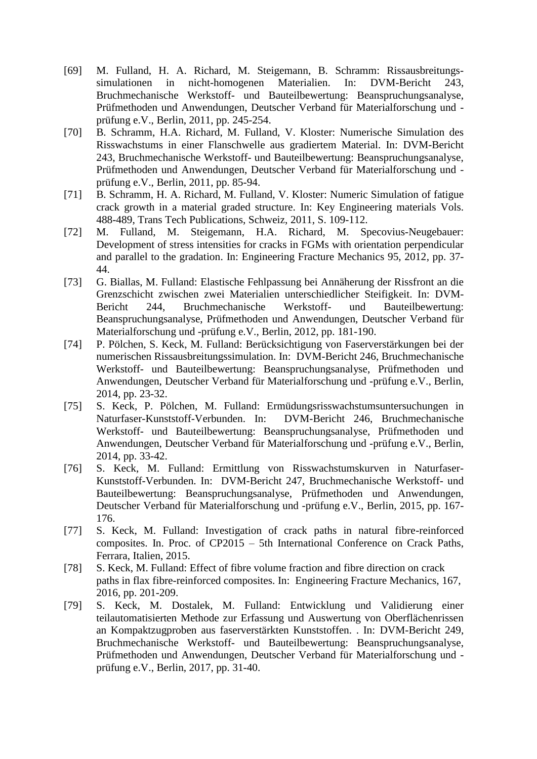- [69] M. Fulland, H. A. Richard, M. Steigemann, B. Schramm: Rissausbreitungssimulationen in nicht-homogenen Materialien. In: DVM-Bericht 243, Bruchmechanische Werkstoff- und Bauteilbewertung: Beanspruchungsanalyse, Prüfmethoden und Anwendungen, Deutscher Verband für Materialforschung und prüfung e.V., Berlin, 2011, pp. 245-254.
- [70] B. Schramm, H.A. Richard, M. Fulland, V. Kloster: Numerische Simulation des Risswachstums in einer Flanschwelle aus gradiertem Material. In: DVM-Bericht 243, Bruchmechanische Werkstoff- und Bauteilbewertung: Beanspruchungsanalyse, Prüfmethoden und Anwendungen, Deutscher Verband für Materialforschung und prüfung e.V., Berlin, 2011, pp. 85-94.
- [71] B. Schramm, H. A. Richard, M. Fulland, V. Kloster: Numeric Simulation of fatigue crack growth in a material graded structure. In: Key Engineering materials Vols. 488-489, Trans Tech Publications, Schweiz, 2011, S. 109-112.
- [72] M. Fulland, M. Steigemann, H.A. Richard, M. Specovius-Neugebauer: [Development of stress intensities for cracks in FGMs with orientation perpendicular](http://www.sciencedirect.com/science/article/pii/S0013794411004395)  [and parallel to the gradation.](http://www.sciencedirect.com/science/article/pii/S0013794411004395) In: Engineering Fracture Mechanics 95, 2012, pp. 37- 44.
- [73] G. Biallas, M. Fulland: Elastische Fehlpassung bei Annäherung der Rissfront an die Grenzschicht zwischen zwei Materialien unterschiedlicher Steifigkeit. In: DVM-Bericht 244, Bruchmechanische Werkstoff- und Bauteilbewertung: Beanspruchungsanalyse, Prüfmethoden und Anwendungen, Deutscher Verband für Materialforschung und -prüfung e.V., Berlin, 2012, pp. 181-190.
- [74] P. Pölchen, S. Keck, M. Fulland: Berücksichtigung von Faserverstärkungen bei der numerischen Rissausbreitungssimulation. In: DVM-Bericht 246, Bruchmechanische Werkstoff- und Bauteilbewertung: Beanspruchungsanalyse, Prüfmethoden und Anwendungen, Deutscher Verband für Materialforschung und -prüfung e.V., Berlin, 2014, pp. 23-32.
- [75] S. Keck, P. Pölchen, M. Fulland: Ermüdungsrisswachstumsuntersuchungen in Naturfaser-Kunststoff-Verbunden. In: DVM-Bericht 246, Bruchmechanische Werkstoff- und Bauteilbewertung: Beanspruchungsanalyse, Prüfmethoden und Anwendungen, Deutscher Verband für Materialforschung und -prüfung e.V., Berlin, 2014, pp. 33-42.
- [76] S. Keck, M. Fulland: Ermittlung von Risswachstumskurven in Naturfaser-Kunststoff-Verbunden. In: DVM-Bericht 247, Bruchmechanische Werkstoff- und Bauteilbewertung: Beanspruchungsanalyse, Prüfmethoden und Anwendungen, Deutscher Verband für Materialforschung und -prüfung e.V., Berlin, 2015, pp. 167- 176.
- [77] S. Keck, M. Fulland: Investigation of crack paths in natural fibre-reinforced composites. In. Proc. of CP2015 – 5th International Conference on Crack Paths, Ferrara, Italien, 2015.
- [78] S. Keck, M. Fulland: Effect of fibre volume fraction and fibre direction on crack paths in flax fibre-reinforced composites. In: Engineering Fracture Mechanics, 167, 2016, pp. 201-209.
- [79] S. Keck, M. Dostalek, M. Fulland: Entwicklung und Validierung einer teilautomatisierten Methode zur Erfassung und Auswertung von Oberflächenrissen an Kompaktzugproben aus faserverstärkten Kunststoffen. . In: DVM-Bericht 249, Bruchmechanische Werkstoff- und Bauteilbewertung: Beanspruchungsanalyse, Prüfmethoden und Anwendungen, Deutscher Verband für Materialforschung und prüfung e.V., Berlin, 2017, pp. 31-40.